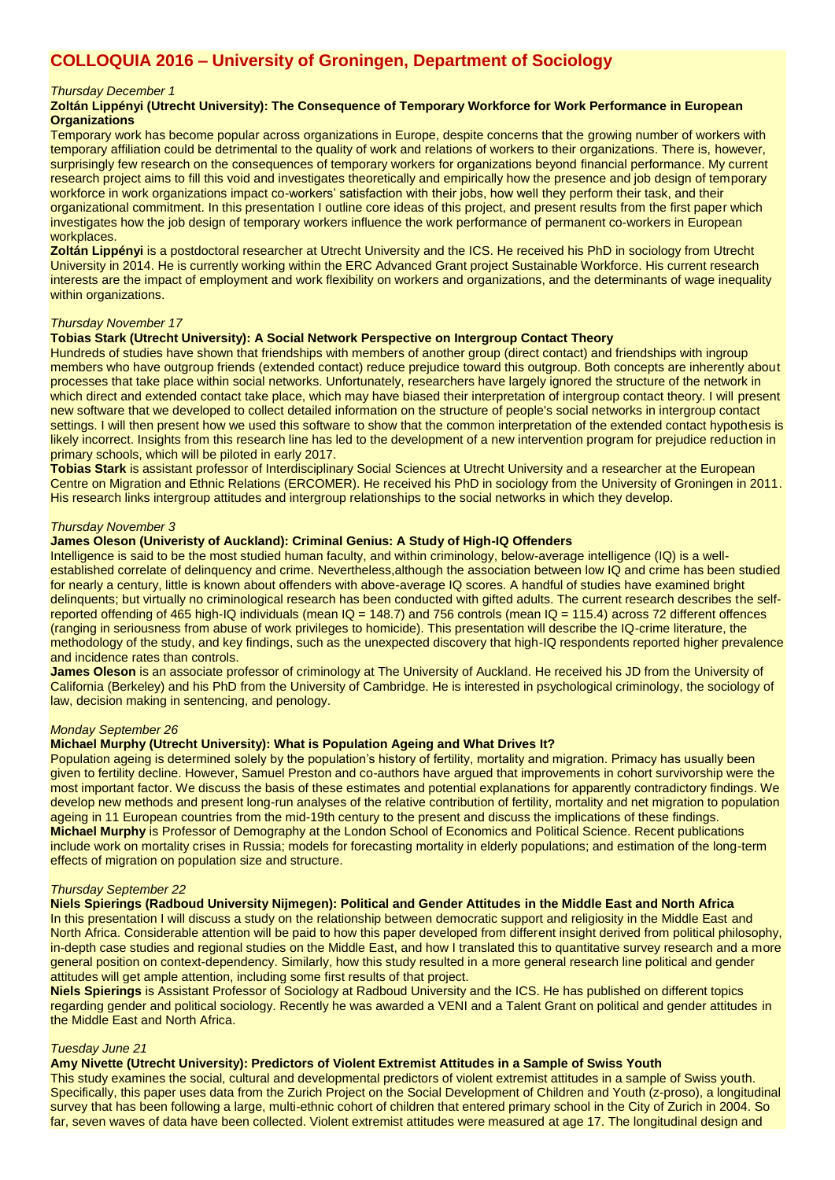# **COLLOQUIA 2016 – University of Groningen, Department of Sociology**

### *Thursday December 1*

# **Zoltán Lippényi (Utrecht University): The Consequence of Temporary Workforce for Work Performance in European Organizations**

Temporary work has become popular across organizations in Europe, despite concerns that the growing number of workers with temporary affiliation could be detrimental to the quality of work and relations of workers to their organizations. There is, however, surprisingly few research on the consequences of temporary workers for organizations beyond financial performance. My current research project aims to fill this void and investigates theoretically and empirically how the presence and job design of temporary workforce in work organizations impact co-workers' satisfaction with their jobs, how well they perform their task, and their organizational commitment. In this presentation I outline core ideas of this project, and present results from the first paper which investigates how the job design of temporary workers influence the work performance of permanent co-workers in European workplaces.

**Zoltán Lippényi** is a postdoctoral researcher at Utrecht University and the ICS. He received his PhD in sociology from Utrecht University in 2014. He is currently working within the ERC Advanced Grant project Sustainable Workforce. His current research interests are the impact of employment and work flexibility on workers and organizations, and the determinants of wage inequality within organizations.

#### *Thursday November 17*

## **Tobias Stark (Utrecht University): A Social Network Perspective on Intergroup Contact Theory**

Hundreds of studies have shown that friendships with members of another group (direct contact) and friendships with ingroup members who have outgroup friends (extended contact) reduce prejudice toward this outgroup. Both concepts are inherently about processes that take place within social networks. Unfortunately, researchers have largely ignored the structure of the network in which direct and extended contact take place, which may have biased their interpretation of intergroup contact theory. I will present new software that we developed to collect detailed information on the structure of people's social networks in intergroup contact settings. I will then present how we used this software to show that the common interpretation of the extended contact hypothesis is likely incorrect. Insights from this research line has led to the development of a new intervention program for prejudice reduction in primary schools, which will be piloted in early 2017.

**Tobias Stark** is assistant professor of Interdisciplinary Social Sciences at Utrecht University and a researcher at the European Centre on Migration and Ethnic Relations (ERCOMER). He received his PhD in sociology from the University of Groningen in 2011. His research links intergroup attitudes and intergroup relationships to the social networks in which they develop.

### *Thursday November 3*

## **James Oleson (Univeristy of Auckland): Criminal Genius: A Study of High-IQ Offenders**

Intelligence is said to be the most studied human faculty, and within criminology, below-average intelligence (IQ) is a wellestablished correlate of delinquency and crime. Nevertheless,although the association between low IQ and crime has been studied for nearly a century, little is known about offenders with above-average IQ scores. A handful of studies have examined bright delinquents; but virtually no criminological research has been conducted with gifted adults. The current research describes the selfreported offending of 465 high-IQ individuals (mean IQ = 148.7) and 756 controls (mean IQ = 115.4) across 72 different offences (ranging in seriousness from abuse of work privileges to homicide). This presentation will describe the IQ-crime literature, the methodology of the study, and key findings, such as the unexpected discovery that high-IQ respondents reported higher prevalence and incidence rates than controls.

**James Oleson** is an associate professor of criminology at The University of Auckland. He received his JD from the University of California (Berkeley) and his PhD from the University of Cambridge. He is interested in psychological criminology, the sociology of law, decision making in sentencing, and penology.

#### *Monday September 26*

# **Michael Murphy (Utrecht University): What is Population Ageing and What Drives It?**

Population ageing is determined solely by the population's history of fertility, mortality and migration. Primacy has usually been given to fertility decline. However, Samuel Preston and co-authors have argued that improvements in cohort survivorship were the most important factor. We discuss the basis of these estimates and potential explanations for apparently contradictory findings. We develop new methods and present long-run analyses of the relative contribution of fertility, mortality and net migration to population ageing in 11 European countries from the mid-19th century to the present and discuss the implications of these findings. **Michael Murphy** is Professor of Demography at the London School of Economics and Political Science. Recent publications include work on mortality crises in Russia; models for forecasting mortality in elderly populations; and estimation of the long-term effects of migration on population size and structure.

#### *Thursday September 22*

#### **Niels Spierings (Radboud University Nijmegen): Political and Gender Attitudes in the Middle East and North Africa**

In this presentation I will discuss a study on the relationship between democratic support and religiosity in the Middle East and North Africa. Considerable attention will be paid to how this paper developed from different insight derived from political philosophy, in-depth case studies and regional studies on the Middle East, and how I translated this to quantitative survey research and a more general position on context-dependency. Similarly, how this study resulted in a more general research line political and gender attitudes will get ample attention, including some first results of that project.

**Niels Spierings** is Assistant Professor of Sociology at Radboud University and the ICS. He has published on different topics regarding gender and political sociology. Recently he was awarded a VENI and a Talent Grant on political and gender attitudes in the Middle East and North Africa.

#### *Tuesday June 21*

## **Amy Nivette (Utrecht University): Predictors of Violent Extremist Attitudes in a Sample of Swiss Youth**

This study examines the social, cultural and developmental predictors of violent extremist attitudes in a sample of Swiss youth. Specifically, this paper uses data from the Zurich Project on the Social Development of Children and Youth (z-proso), a longitudinal survey that has been following a large, multi-ethnic cohort of children that entered primary school in the City of Zurich in 2004. So far, seven waves of data have been collected. Violent extremist attitudes were measured at age 17. The longitudinal design and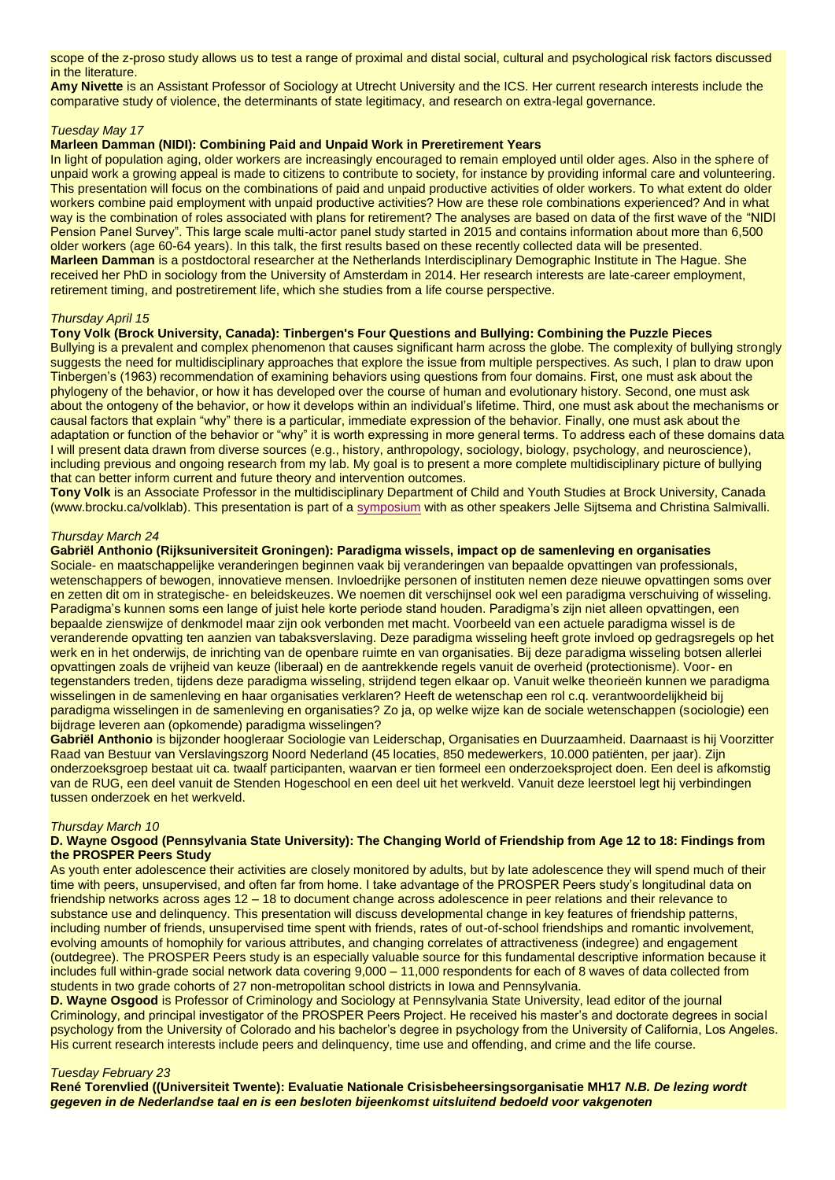scope of the z-proso study allows us to test a range of proximal and distal social, cultural and psychological risk factors discussed in the literature.

**Amy Nivette** is an Assistant Professor of Sociology at Utrecht University and the ICS. Her current research interests include the comparative study of violence, the determinants of state legitimacy, and research on extra-legal governance.

# *Tuesday May 17*

# **Marleen Damman (NIDI): Combining Paid and Unpaid Work in Preretirement Years**

In light of population aging, older workers are increasingly encouraged to remain employed until older ages. Also in the sphere of unpaid work a growing appeal is made to citizens to contribute to society, for instance by providing informal care and volunteering. This presentation will focus on the combinations of paid and unpaid productive activities of older workers. To what extent do older workers combine paid employment with unpaid productive activities? How are these role combinations experienced? And in what way is the combination of roles associated with plans for retirement? The analyses are based on data of the first wave of the "NIDI Pension Panel Survey". This large scale multi-actor panel study started in 2015 and contains information about more than 6,500 older workers (age 60-64 years). In this talk, the first results based on these recently collected data will be presented. **Marleen Damman** is a postdoctoral researcher at the Netherlands Interdisciplinary Demographic Institute in The Hague. She received her PhD in sociology from the University of Amsterdam in 2014. Her research interests are late-career employment, retirement timing, and postretirement life, which she studies from a life course perspective.

# *Thursday April 15*

# **Tony Volk (Brock University, Canada): Tinbergen's Four Questions and Bullying: Combining the Puzzle Pieces**

Bullying is a prevalent and complex phenomenon that causes significant harm across the globe. The complexity of bullying strongly suggests the need for multidisciplinary approaches that explore the issue from multiple perspectives. As such, I plan to draw upon Tinbergen's (1963) recommendation of examining behaviors using questions from four domains. First, one must ask about the phylogeny of the behavior, or how it has developed over the course of human and evolutionary history. Second, one must ask about the ontogeny of the behavior, or how it develops within an individual's lifetime. Third, one must ask about the mechanisms or causal factors that explain "why" there is a particular, immediate expression of the behavior. Finally, one must ask about the adaptation or function of the behavior or "why" it is worth expressing in more general terms. To address each of these domains data I will present data drawn from diverse sources (e.g., history, anthropology, sociology, biology, psychology, and neuroscience), including previous and ongoing research from my lab. My goal is to present a more complete multidisciplinary picture of bullying that can better inform current and future theory and intervention outcomes.

**Tony Volk** is an Associate Professor in the multidisciplinary Department of Child and Youth Studies at Brock University, Canada (www.brocku.ca/volklab). This presentation is part of a [symposium](http://www.rug.nl/gmw/sociology/calendar/be-a-buddy_-not-a-bully_symposium) with as other speakers Jelle Sijtsema and Christina Salmivalli.

#### *Thursday March 24*

#### **Gabriël Anthonio (Rijksuniversiteit Groningen): Paradigma wissels, impact op de samenleving en organisaties**

Sociale- en maatschappelijke veranderingen beginnen vaak bij veranderingen van bepaalde opvattingen van professionals, wetenschappers of bewogen, innovatieve mensen. Invloedrijke personen of instituten nemen deze nieuwe opvattingen soms over en zetten dit om in strategische- en beleidskeuzes. We noemen dit verschijnsel ook wel een paradigma verschuiving of wisseling. Paradigma's kunnen soms een lange of juist hele korte periode stand houden. Paradigma's zijn niet alleen opvattingen, een bepaalde zienswijze of denkmodel maar zijn ook verbonden met macht. Voorbeeld van een actuele paradigma wissel is de veranderende opvatting ten aanzien van tabaksverslaving. Deze paradigma wisseling heeft grote invloed op gedragsregels op het werk en in het onderwijs, de inrichting van de openbare ruimte en van organisaties. Bij deze paradigma wisseling botsen allerlei opvattingen zoals de vrijheid van keuze (liberaal) en de aantrekkende regels vanuit de overheid (protectionisme). Voor- en tegenstanders treden, tijdens deze paradigma wisseling, strijdend tegen elkaar op. Vanuit welke theorieën kunnen we paradigma wisselingen in de samenleving en haar organisaties verklaren? Heeft de wetenschap een rol c.q. verantwoordelijkheid bij paradigma wisselingen in de samenleving en organisaties? Zo ja, op welke wijze kan de sociale wetenschappen (sociologie) een bijdrage leveren aan (opkomende) paradigma wisselingen?

**Gabriël Anthonio** is bijzonder hoogleraar Sociologie van Leiderschap, Organisaties en Duurzaamheid. Daarnaast is hij Voorzitter Raad van Bestuur van Verslavingszorg Noord Nederland (45 locaties, 850 medewerkers, 10.000 patiënten, per jaar). Zijn onderzoeksgroep bestaat uit ca. twaalf participanten, waarvan er tien formeel een onderzoeksproject doen. Een deel is afkomstig van de RUG, een deel vanuit de Stenden Hogeschool en een deel uit het werkveld. Vanuit deze leerstoel legt hij verbindingen tussen onderzoek en het werkveld.

## *Thursday March 10*

## **D. Wayne Osgood (Pennsylvania State University): The Changing World of Friendship from Age 12 to 18: Findings from the PROSPER Peers Study**

As youth enter adolescence their activities are closely monitored by adults, but by late adolescence they will spend much of their time with peers, unsupervised, and often far from home. I take advantage of the PROSPER Peers study's longitudinal data on friendship networks across ages 12 – 18 to document change across adolescence in peer relations and their relevance to substance use and delinquency. This presentation will discuss developmental change in key features of friendship patterns, including number of friends, unsupervised time spent with friends, rates of out-of-school friendships and romantic involvement, evolving amounts of homophily for various attributes, and changing correlates of attractiveness (indegree) and engagement (outdegree). The PROSPER Peers study is an especially valuable source for this fundamental descriptive information because it includes full within-grade social network data covering 9,000 – 11,000 respondents for each of 8 waves of data collected from students in two grade cohorts of 27 non-metropolitan school districts in Iowa and Pennsylvania.

**D. Wayne Osgood** is Professor of Criminology and Sociology at Pennsylvania State University, lead editor of the journal Criminology, and principal investigator of the PROSPER Peers Project. He received his master's and doctorate degrees in social psychology from the University of Colorado and his bachelor's degree in psychology from the University of California, Los Angeles. His current research interests include peers and delinquency, time use and offending, and crime and the life course.

# *Tuesday February 23*

**René Torenvlied ((Universiteit Twente): Evaluatie Nationale Crisisbeheersingsorganisatie MH17** *N.B. De lezing wordt gegeven in de Nederlandse taal en is een besloten bijeenkomst uitsluitend bedoeld voor vakgenoten*